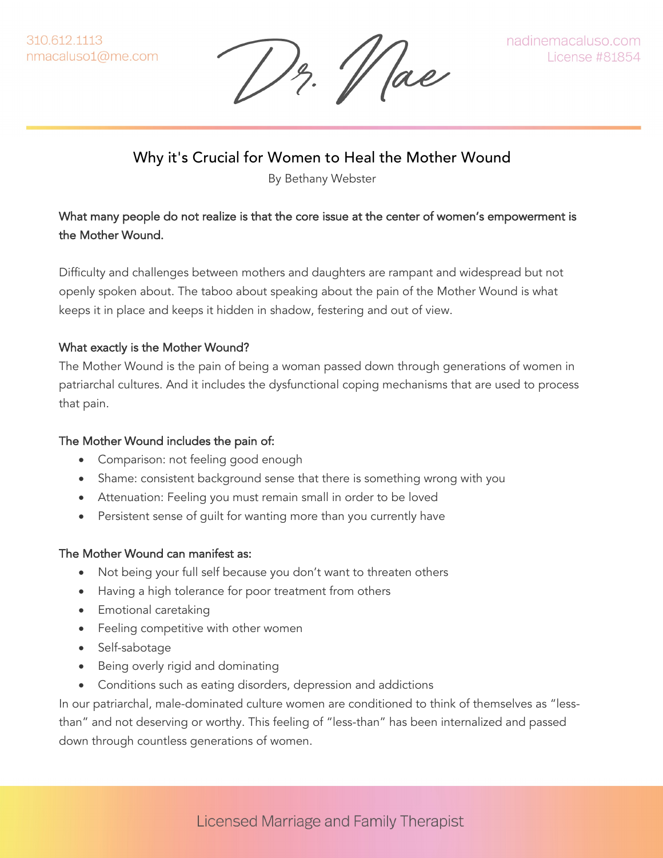13. Vae

# Why it's Crucial for Women to Heal the Mother Wound

By Bethany Webster

## What many people do not realize is that the core issue at the center of women's empowerment is the Mother Wound.

Difficulty and challenges between mothers and daughters are rampant and widespread but not openly spoken about. The taboo about speaking about the pain of the Mother Wound is what keeps it in place and keeps it hidden in shadow, festering and out of view.

### What exactly is the Mother Wound?

The Mother Wound is the pain of being a woman passed down through generations of women in patriarchal cultures. And it includes the dysfunctional coping mechanisms that are used to process that pain.

### The Mother Wound includes the pain of:

- Comparison: not feeling good enough
- Shame: consistent background sense that there is something wrong with you
- Attenuation: Feeling you must remain small in order to be loved
- Persistent sense of guilt for wanting more than you currently have

### The Mother Wound can manifest as:

- Not being your full self because you don't want to threaten others
- Having a high tolerance for poor treatment from others
- Emotional caretaking
- Feeling competitive with other women
- Self-sabotage
- Being overly rigid and dominating
- Conditions such as eating disorders, depression and addictions

In our patriarchal, male-dominated culture women are conditioned to think of themselves as "lessthan" and not deserving or worthy. This feeling of "less-than" has been internalized and passed down through countless generations of women.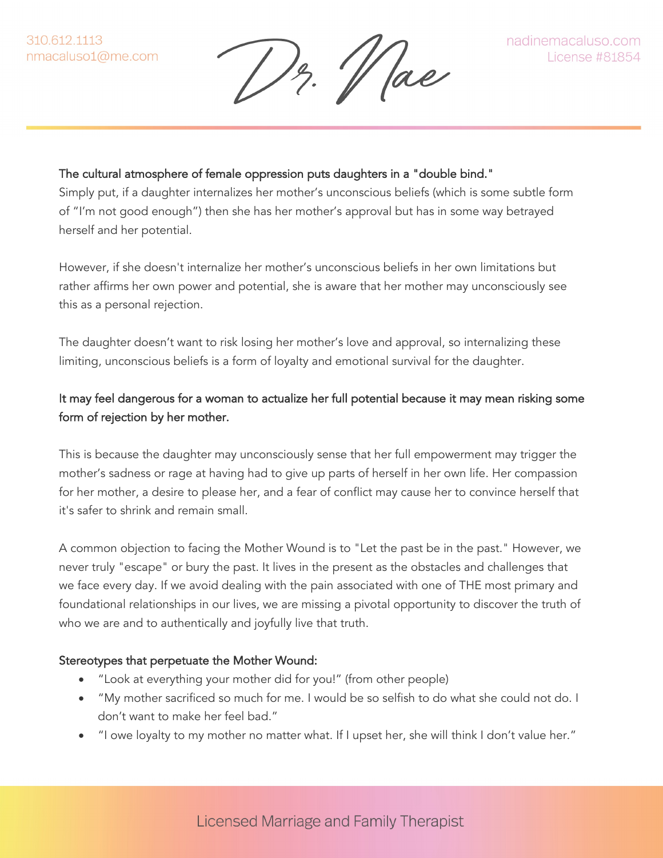$\frac{1}{2}$ .  $\Vert$  ae

### The cultural atmosphere of female oppression puts daughters in a "double bind."

Simply put, if a daughter internalizes her mother's unconscious beliefs (which is some subtle form of "I'm not good enough") then she has her mother's approval but has in some way betrayed herself and her potential.

However, if she doesn't internalize her mother's unconscious beliefs in her own limitations but rather affirms her own power and potential, she is aware that her mother may unconsciously see this as a personal rejection.

The daughter doesn't want to risk losing her mother's love and approval, so internalizing these limiting, unconscious beliefs is a form of loyalty and emotional survival for the daughter.

## It may feel dangerous for a woman to actualize her full potential because it may mean risking some form of rejection by her mother.

This is because the daughter may unconsciously sense that her full empowerment may trigger the mother's sadness or rage at having had to give up parts of herself in her own life. Her compassion for her mother, a desire to please her, and a fear of conflict may cause her to convince herself that it's safer to shrink and remain small.

A common objection to facing the Mother Wound is to "Let the past be in the past." However, we never truly "escape" or bury the past. It lives in the present as the obstacles and challenges that we face every day. If we avoid dealing with the pain associated with one of THE most primary and foundational relationships in our lives, we are missing a pivotal opportunity to discover the truth of who we are and to authentically and joyfully live that truth.

#### Stereotypes that perpetuate the Mother Wound:

- "Look at everything your mother did for you!" (from other people)
- "My mother sacrificed so much for me. I would be so selfish to do what she could not do. I don't want to make her feel bad."
- "I owe loyalty to my mother no matter what. If I upset her, she will think I don't value her."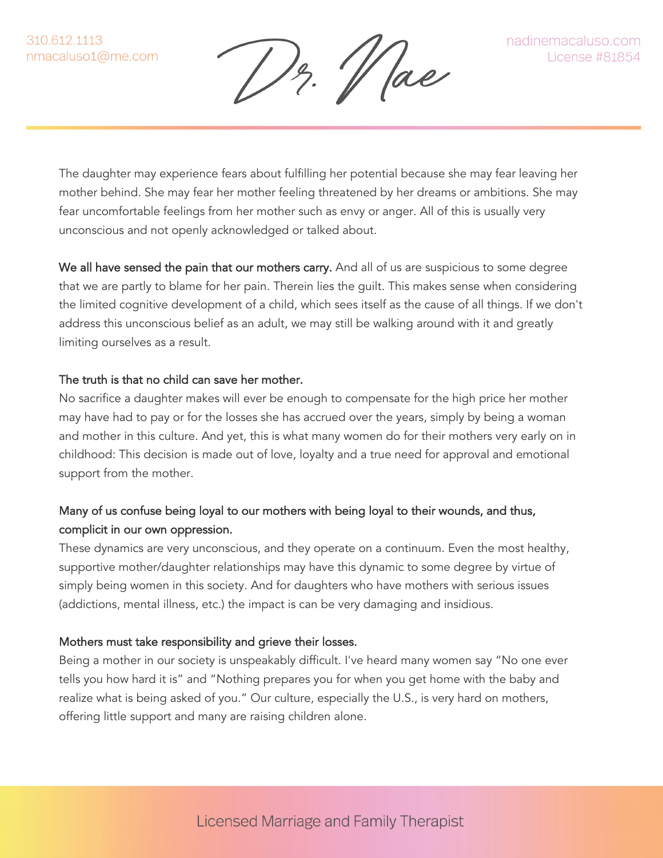1z. 11 Jae

The daughter may experience fears about fulfilling her potential because she may fear leaving her mother behind. She may fear her mother feeling threatened by her dreams or ambitions. She may fear uncomfortable feelings from her mother such as envy or anger. All of this is usually very unconscious and not openly acknowledged or talked about.

We all have sensed the pain that our mothers carry. And all of us are suspicious to some degree that we are partly to blame for her pain. Therein lies the guilt. This makes sense when considering the limited cognitive development of a child, which sees itself as the cause of all things. If we don't address this unconscious belief as an adult, we may still be walking around with it and greatly limiting ourselves as a result.

#### The truth is that no child can save her mother.

No sacrifice a daughter makes will ever be enough to compensate for the high price her mother may have had to pay or for the losses she has accrued over the years, simply by being a woman and mother in this culture. And yet, this is what many women do for their mothers very early on in childhood: This decision is made out of love, loyalty and a true need for approval and emotional support from the mother.

### Many of us confuse being loyal to our mothers with being loyal to their wounds, and thus, complicit in our own oppression.

These dynamics are very unconscious, and they operate on a continuum. Even the most healthy, supportive mother/daughter relationships may have this dynamic to some degree by virtue of simply being women in this society. And for daughters who have mothers with serious issues (addictions, mental illness, etc.) the impact is can be very damaging and insidious.

#### Mothers must take responsibility and grieve their losses.

Being a mother in our society is unspeakably difficult. I've heard many women say "No one ever tells you how hard it is" and "Nothing prepares you for when you get home with the baby and realize what is being asked of you." Our culture, especially the U.S., is very hard on mothers, offering little support and many are raising children alone.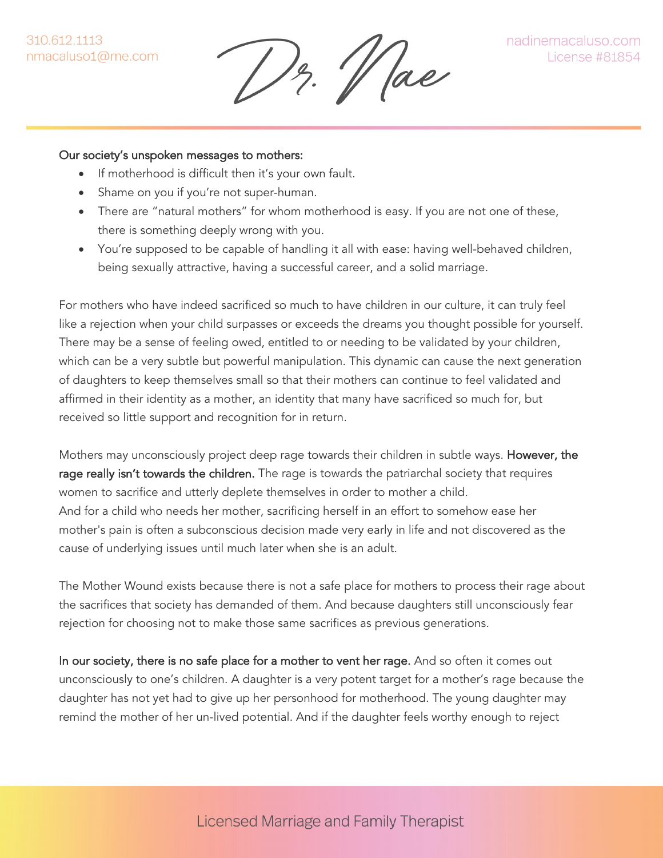'/ ae

#### Our society's unspoken messages to mothers:

- If motherhood is difficult then it's your own fault.
- Shame on you if you're not super-human.
- There are "natural mothers" for whom motherhood is easy. If you are not one of these, there is something deeply wrong with you.
- You're supposed to be capable of handling it all with ease: having well-behaved children, being sexually attractive, having a successful career, and a solid marriage.

For mothers who have indeed sacrificed so much to have children in our culture, it can truly feel like a rejection when your child surpasses or exceeds the dreams you thought possible for yourself. There may be a sense of feeling owed, entitled to or needing to be validated by your children, which can be a very subtle but powerful manipulation. This dynamic can cause the next generation of daughters to keep themselves small so that their mothers can continue to feel validated and affirmed in their identity as a mother, an identity that many have sacrificed so much for, but received so little support and recognition for in return.

Mothers may unconsciously project deep rage towards their children in subtle ways. However, the rage really isn't towards the children. The rage is towards the patriarchal society that requires women to sacrifice and utterly deplete themselves in order to mother a child. And for a child who needs her mother, sacrificing herself in an effort to somehow ease her mother's pain is often a subconscious decision made very early in life and not discovered as the cause of underlying issues until much later when she is an adult.

The Mother Wound exists because there is not a safe place for mothers to process their rage about the sacrifices that society has demanded of them. And because daughters still unconsciously fear rejection for choosing not to make those same sacrifices as previous generations.

In our society, there is no safe place for a mother to vent her rage. And so often it comes out unconsciously to one's children. A daughter is a very potent target for a mother's rage because the daughter has not yet had to give up her personhood for motherhood. The young daughter may remind the mother of her un-lived potential. And if the daughter feels worthy enough to reject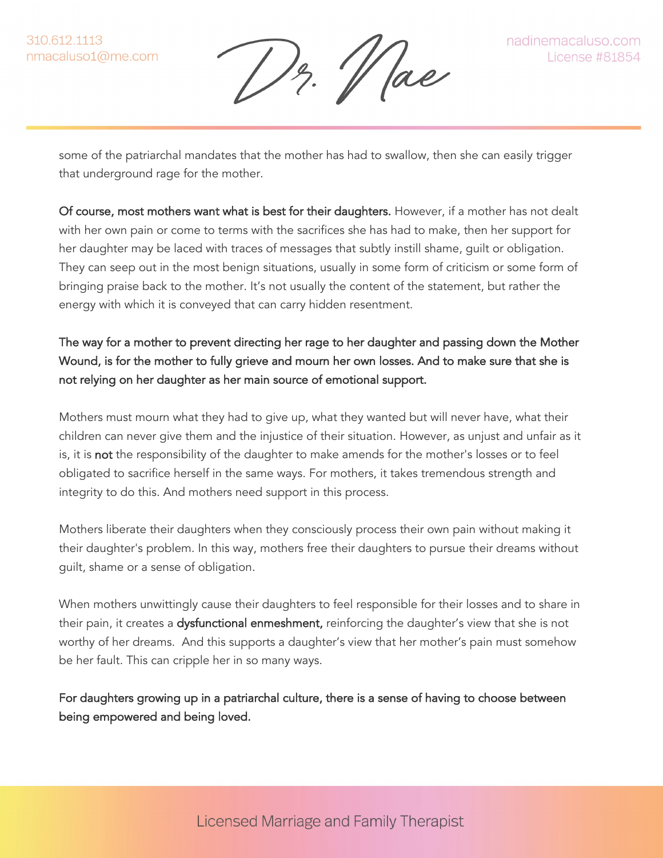$\frac{1}{2}$ .  $\frac{1}{2}$  ae

some of the patriarchal mandates that the mother has had to swallow, then she can easily trigger that underground rage for the mother.

Of course, most mothers want what is best for their daughters. However, if a mother has not dealt with her own pain or come to terms with the sacrifices she has had to make, then her support for her daughter may be laced with traces of messages that subtly instill shame, guilt or obligation. They can seep out in the most benign situations, usually in some form of criticism or some form of bringing praise back to the mother. It's not usually the content of the statement, but rather the energy with which it is conveyed that can carry hidden resentment.

# The way for a mother to prevent directing her rage to her daughter and passing down the Mother Wound, is for the mother to fully grieve and mourn her own losses. And to make sure that she is not relying on her daughter as her main source of emotional support.

Mothers must mourn what they had to give up, what they wanted but will never have, what their children can never give them and the injustice of their situation. However, as unjust and unfair as it is, it is not the responsibility of the daughter to make amends for the mother's losses or to feel obligated to sacrifice herself in the same ways. For mothers, it takes tremendous strength and integrity to do this. And mothers need support in this process.

Mothers liberate their daughters when they consciously process their own pain without making it their daughter's problem. In this way, mothers free their daughters to pursue their dreams without guilt, shame or a sense of obligation.

When mothers unwittingly cause their daughters to feel responsible for their losses and to share in their pain, it creates a dysfunctional enmeshment, reinforcing the daughter's view that she is not worthy of her dreams. And this supports a daughter's view that her mother's pain must somehow be her fault. This can cripple her in so many ways.

For daughters growing up in a patriarchal culture, there is a sense of having to choose between being empowered and being loved.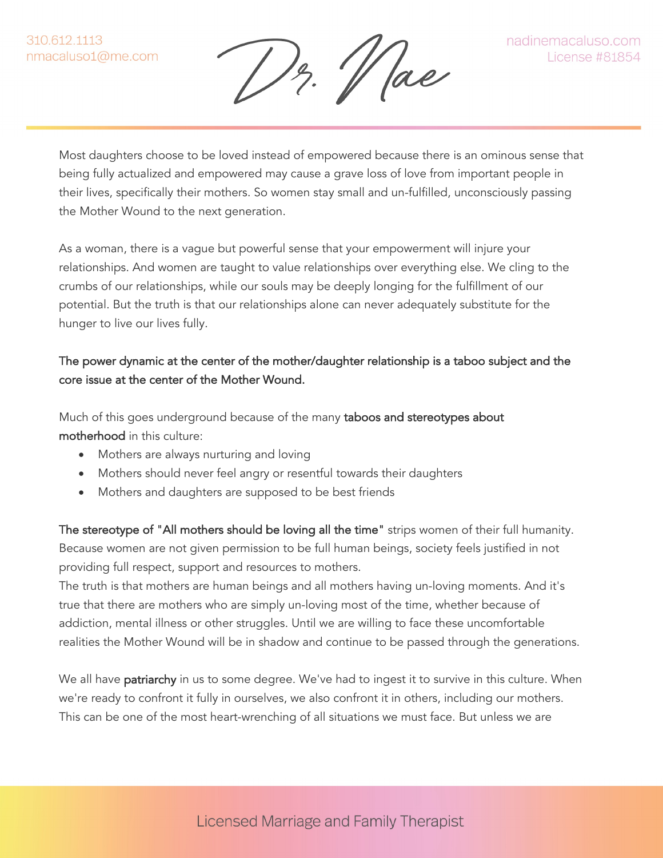$\frac{1}{2}$ .  $\frac{1}{2}$  ae

Most daughters choose to be loved instead of empowered because there is an ominous sense that being fully actualized and empowered may cause a grave loss of love from important people in their lives, specifically their mothers. So women stay small and un-fulfilled, unconsciously passing the Mother Wound to the next generation.

As a woman, there is a vague but powerful sense that your empowerment will injure your relationships. And women are taught to value relationships over everything else. We cling to the crumbs of our relationships, while our souls may be deeply longing for the fulfillment of our potential. But the truth is that our relationships alone can never adequately substitute for the hunger to live our lives fully.

## The power dynamic at the center of the mother/daughter relationship is a taboo subject and the core issue at the center of the Mother Wound.

Much of this goes underground because of the many taboos and stereotypes about motherhood in this culture:

- Mothers are always nurturing and loving
- Mothers should never feel angry or resentful towards their daughters
- Mothers and daughters are supposed to be best friends

The stereotype of "All mothers should be loving all the time" strips women of their full humanity. Because women are not given permission to be full human beings, society feels justified in not providing full respect, support and resources to mothers.

The truth is that mothers are human beings and all mothers having un-loving moments. And it's true that there are mothers who are simply un-loving most of the time, whether because of addiction, mental illness or other struggles. Until we are willing to face these uncomfortable realities the Mother Wound will be in shadow and continue to be passed through the generations.

We all have patriarchy in us to some degree. We've had to ingest it to survive in this culture. When we're ready to confront it fully in ourselves, we also confront it in others, including our mothers. This can be one of the most heart-wrenching of all situations we must face. But unless we are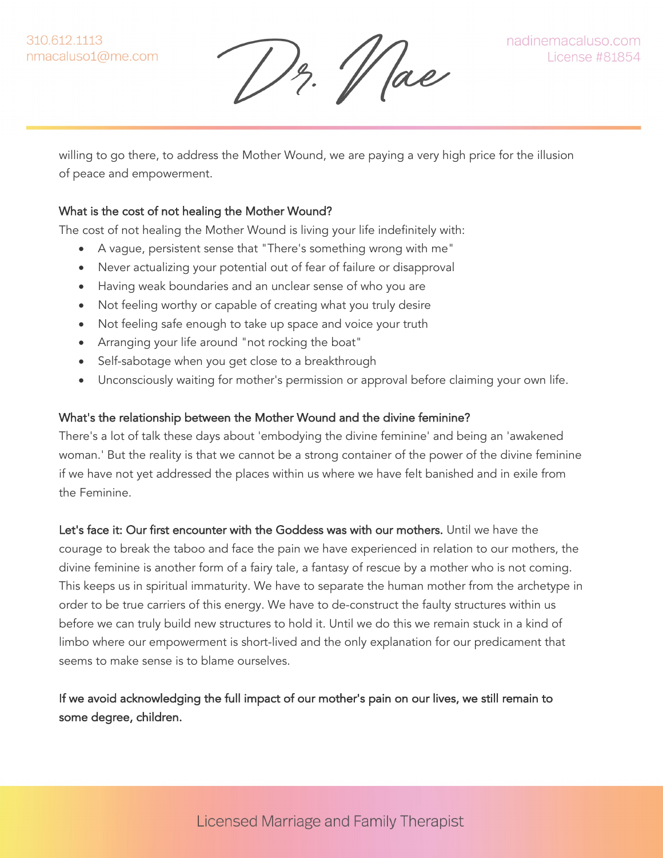$\frac{1}{2}$ .  $\frac{1}{2}$  ae

willing to go there, to address the Mother Wound, we are paying a very high price for the illusion of peace and empowerment.

#### What is the cost of not healing the Mother Wound?

The cost of not healing the Mother Wound is living your life indefinitely with:

- A vague, persistent sense that "There's something wrong with me"
- Never actualizing your potential out of fear of failure or disapproval
- Having weak boundaries and an unclear sense of who you are
- Not feeling worthy or capable of creating what you truly desire
- Not feeling safe enough to take up space and voice your truth
- Arranging your life around "not rocking the boat"
- Self-sabotage when you get close to a breakthrough
- Unconsciously waiting for mother's permission or approval before claiming your own life.

#### What's the relationship between the Mother Wound and the divine feminine?

There's a lot of talk these days about 'embodying the divine feminine' and being an 'awakened woman.' But the reality is that we cannot be a strong container of the power of the divine feminine if we have not yet addressed the places within us where we have felt banished and in exile from the Feminine.

Let's face it: Our first encounter with the Goddess was with our mothers. Until we have the courage to break the taboo and face the pain we have experienced in relation to our mothers, the divine feminine is another form of a fairy tale, a fantasy of rescue by a mother who is not coming. This keeps us in spiritual immaturity. We have to separate the human mother from the archetype in order to be true carriers of this energy. We have to de-construct the faulty structures within us before we can truly build new structures to hold it. Until we do this we remain stuck in a kind of limbo where our empowerment is short-lived and the only explanation for our predicament that seems to make sense is to blame ourselves.

### If we avoid acknowledging the full impact of our mother's pain on our lives, we still remain to some degree, children.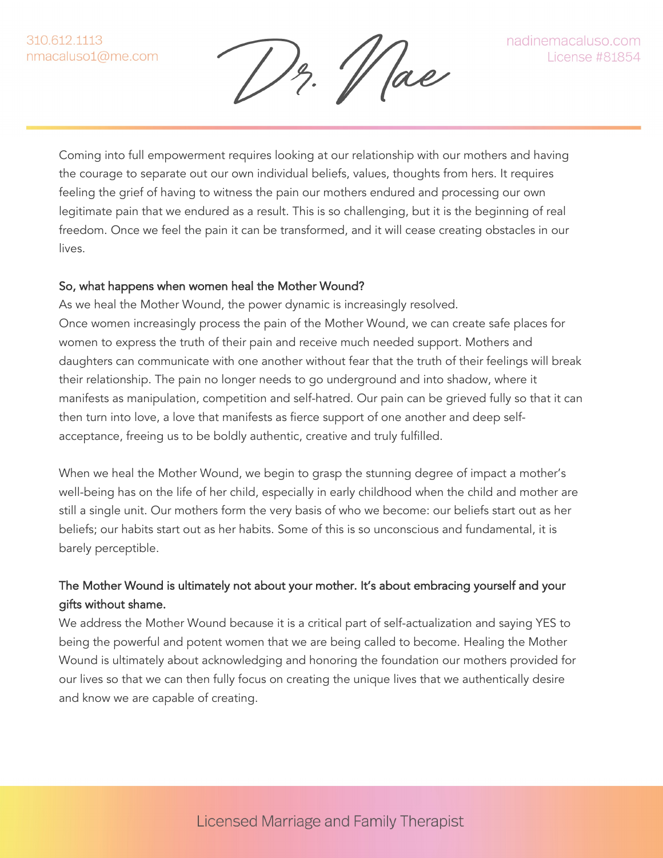'/ ae

Coming into full empowerment requires looking at our relationship with our mothers and having the courage to separate out our own individual beliefs, values, thoughts from hers. It requires feeling the grief of having to witness the pain our mothers endured and processing our own legitimate pain that we endured as a result. This is so challenging, but it is the beginning of real freedom. Once we feel the pain it can be transformed, and it will cease creating obstacles in our lives.

#### So, what happens when women heal the Mother Wound?

As we heal the Mother Wound, the power dynamic is increasingly resolved. Once women increasingly process the pain of the Mother Wound, we can create safe places for women to express the truth of their pain and receive much needed support. Mothers and daughters can communicate with one another without fear that the truth of their feelings will break their relationship. The pain no longer needs to go underground and into shadow, where it manifests as manipulation, competition and self-hatred. Our pain can be grieved fully so that it can then turn into love, a love that manifests as fierce support of one another and deep selfacceptance, freeing us to be boldly authentic, creative and truly fulfilled.

When we heal the Mother Wound, we begin to grasp the stunning degree of impact a mother's well-being has on the life of her child, especially in early childhood when the child and mother are still a single unit. Our mothers form the very basis of who we become: our beliefs start out as her beliefs; our habits start out as her habits. Some of this is so unconscious and fundamental, it is barely perceptible.

## The Mother Wound is ultimately not about your mother. It's about embracing yourself and your gifts without shame.

We address the Mother Wound because it is a critical part of self-actualization and saying YES to being the powerful and potent women that we are being called to become. Healing the Mother Wound is ultimately about acknowledging and honoring the foundation our mothers provided for our lives so that we can then fully focus on creating the unique lives that we authentically desire and know we are capable of creating.